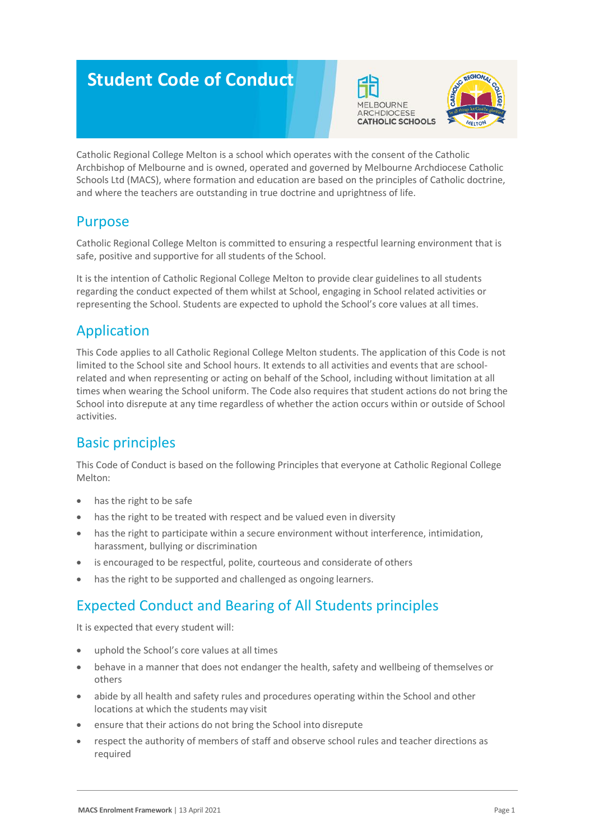# **Student Code of Conduct**





Catholic Regional College Melton is a school which operates with the consent of the Catholic Archbishop of Melbourne and is owned, operated and governed by Melbourne Archdiocese Catholic Schools Ltd (MACS), where formation and education are based on the principles of Catholic doctrine, and where the teachers are outstanding in true doctrine and uprightness of life.

#### Purpose

Catholic Regional College Melton is committed to ensuring a respectful learning environment that is safe, positive and supportive for all students of the School.

It is the intention of Catholic Regional College Melton to provide clear guidelines to all students regarding the conduct expected of them whilst at School, engaging in School related activities or representing the School. Students are expected to uphold the School's core values at all times.

## Application

This Code applies to all Catholic Regional College Melton students. The application of this Code is not limited to the School site and School hours. It extends to all activities and events that are schoolrelated and when representing or acting on behalf of the School, including without limitation at all times when wearing the School uniform. The Code also requires that student actions do not bring the School into disrepute at any time regardless of whether the action occurs within or outside of School activities.

## Basic principles

This Code of Conduct is based on the following Principles that everyone at Catholic Regional College Melton:

- has the right to be safe
- has the right to be treated with respect and be valued even in diversity
- has the right to participate within a secure environment without interference, intimidation, harassment, bullying or discrimination
- is encouraged to be respectful, polite, courteous and considerate of others
- has the right to be supported and challenged as ongoing learners.

## Expected Conduct and Bearing of All Students principles

It is expected that every student will:

- uphold the School's core values at all times
- behave in a manner that does not endanger the health, safety and wellbeing of themselves or others
- abide by all health and safety rules and procedures operating within the School and other locations at which the students may visit
- ensure that their actions do not bring the School into disrepute
- respect the authority of members of staff and observe school rules and teacher directions as required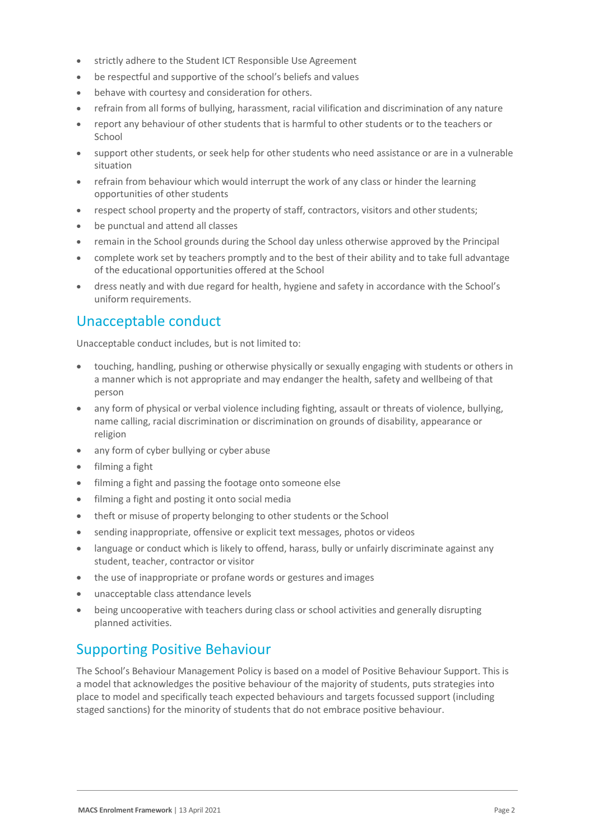- strictly adhere to the Student ICT Responsible Use Agreement
- be respectful and supportive of the school's beliefs and values
- behave with courtesy and consideration for others.
- refrain from all forms of bullying, harassment, racial vilification and discrimination of any nature
- report any behaviour of other students that is harmful to other students or to the teachers or School
- support other students, or seek help for other students who need assistance or are in a vulnerable situation
- refrain from behaviour which would interrupt the work of any class or hinder the learning opportunities of other students
- respect school property and the property of staff, contractors, visitors and other students;
- be punctual and attend all classes
- remain in the School grounds during the School day unless otherwise approved by the Principal
- complete work set by teachers promptly and to the best of their ability and to take full advantage of the educational opportunities offered at the School
- dress neatly and with due regard for health, hygiene and safety in accordance with the School's uniform requirements.

#### Unacceptable conduct

Unacceptable conduct includes, but is not limited to:

- touching, handling, pushing or otherwise physically or sexually engaging with students or others in a manner which is not appropriate and may endanger the health, safety and wellbeing of that person
- any form of physical or verbal violence including fighting, assault or threats of violence, bullying, name calling, racial discrimination or discrimination on grounds of disability, appearance or religion
- any form of cyber bullying or cyber abuse
- filming a fight
- filming a fight and passing the footage onto someone else
- filming a fight and posting it onto social media
- theft or misuse of property belonging to other students or the School
- sending inappropriate, offensive or explicit text messages, photos or videos
- language or conduct which is likely to offend, harass, bully or unfairly discriminate against any student, teacher, contractor or visitor
- the use of inappropriate or profane words or gestures and images
- unacceptable class attendance levels
- being uncooperative with teachers during class or school activities and generally disrupting planned activities.

#### Supporting Positive Behaviour

The School's Behaviour Management Policy is based on a model of Positive Behaviour Support. This is a model that acknowledges the positive behaviour of the majority of students, puts strategies into place to model and specifically teach expected behaviours and targets focussed support (including staged sanctions) for the minority of students that do not embrace positive behaviour.